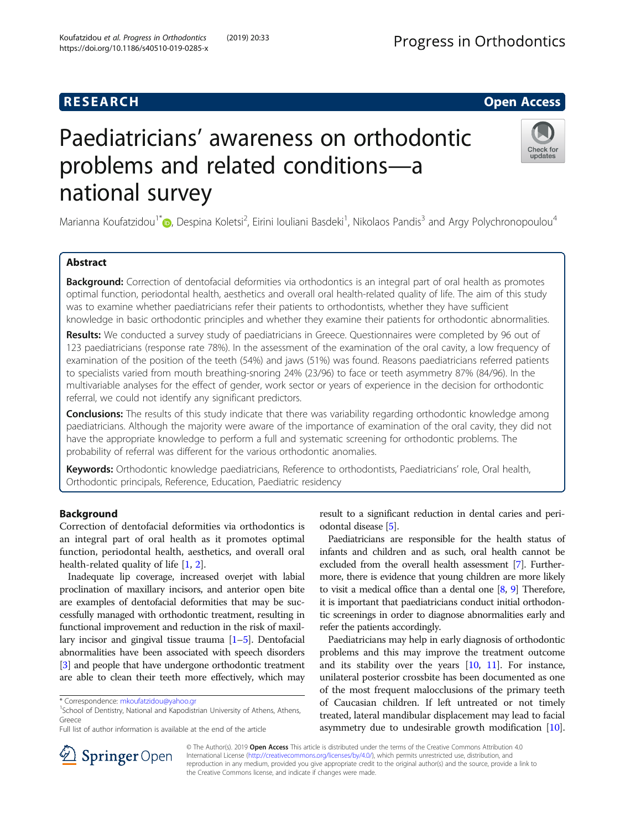# **RESEARCH CHE Open Access**

# Paediatricians' awareness on orthodontic problems and related conditions—a national survey



Marianna Koufatzidou<sup>1\*</sup>@[,](http://orcid.org/0000-0001-5993-3196) Despina Koletsi<sup>2</sup>, Eirini Iouliani Basdeki<sup>1</sup>, Nikolaos Pandis<sup>3</sup> and Argy Polychronopoulou<sup>4</sup>

# Abstract

Background: Correction of dentofacial deformities via orthodontics is an integral part of oral health as promotes optimal function, periodontal health, aesthetics and overall oral health-related quality of life. The aim of this study was to examine whether paediatricians refer their patients to orthodontists, whether they have sufficient knowledge in basic orthodontic principles and whether they examine their patients for orthodontic abnormalities.

Results: We conducted a survey study of paediatricians in Greece. Questionnaires were completed by 96 out of 123 paediatricians (response rate 78%). In the assessment of the examination of the oral cavity, a low frequency of examination of the position of the teeth (54%) and jaws (51%) was found. Reasons paediatricians referred patients to specialists varied from mouth breathing-snoring 24% (23/96) to face or teeth asymmetry 87% (84/96). In the multivariable analyses for the effect of gender, work sector or years of experience in the decision for orthodontic referral, we could not identify any significant predictors.

**Conclusions:** The results of this study indicate that there was variability regarding orthodontic knowledge among paediatricians. Although the majority were aware of the importance of examination of the oral cavity, they did not have the appropriate knowledge to perform a full and systematic screening for orthodontic problems. The probability of referral was different for the various orthodontic anomalies.

Keywords: Orthodontic knowledge paediatricians, Reference to orthodontists, Paediatricians' role, Oral health, Orthodontic principals, Reference, Education, Paediatric residency

# Background

Correction of dentofacial deformities via orthodontics is an integral part of oral health as it promotes optimal function, periodontal health, aesthetics, and overall oral health-related quality of life [\[1](#page-4-0), [2](#page-4-0)].

Inadequate lip coverage, increased overjet with labial proclination of maxillary incisors, and anterior open bite are examples of dentofacial deformities that may be successfully managed with orthodontic treatment, resulting in functional improvement and reduction in the risk of maxillary incisor and gingival tissue trauma [\[1](#page-4-0)–[5](#page-4-0)]. Dentofacial abnormalities have been associated with speech disorders [[3](#page-4-0)] and people that have undergone orthodontic treatment are able to clean their teeth more effectively, which may

 $1$ School of Dentistry, National and Kapodistrian University of Athens, Athens, Greece

Full list of author information is available at the end of the article

result to a significant reduction in dental caries and periodontal disease [\[5](#page-4-0)].

Paediatricians are responsible for the health status of infants and children and as such, oral health cannot be excluded from the overall health assessment [[7\]](#page-4-0). Furthermore, there is evidence that young children are more likely to visit a medical office than a dental one [[8](#page-4-0), [9](#page-4-0)] Therefore, it is important that paediatricians conduct initial orthodontic screenings in order to diagnose abnormalities early and refer the patients accordingly.

Paediatricians may help in early diagnosis of orthodontic problems and this may improve the treatment outcome and its stability over the years  $[10, 11]$  $[10, 11]$  $[10, 11]$  $[10, 11]$ . For instance, unilateral posterior crossbite has been documented as one of the most frequent malocclusions of the primary teeth of Caucasian children. If left untreated or not timely treated, lateral mandibular displacement may lead to facial asymmetry due to undesirable growth modification [[10](#page-4-0)].



© The Author(s). 2019 Open Access This article is distributed under the terms of the Creative Commons Attribution 4.0 International License ([http://creativecommons.org/licenses/by/4.0/\)](http://creativecommons.org/licenses/by/4.0/), which permits unrestricted use, distribution, and reproduction in any medium, provided you give appropriate credit to the original author(s) and the source, provide a link to the Creative Commons license, and indicate if changes were made.

<sup>\*</sup> Correspondence: [mkoufatzidou@yahoo.gr](mailto:mkoufatzidou@yahoo.gr) <sup>1</sup>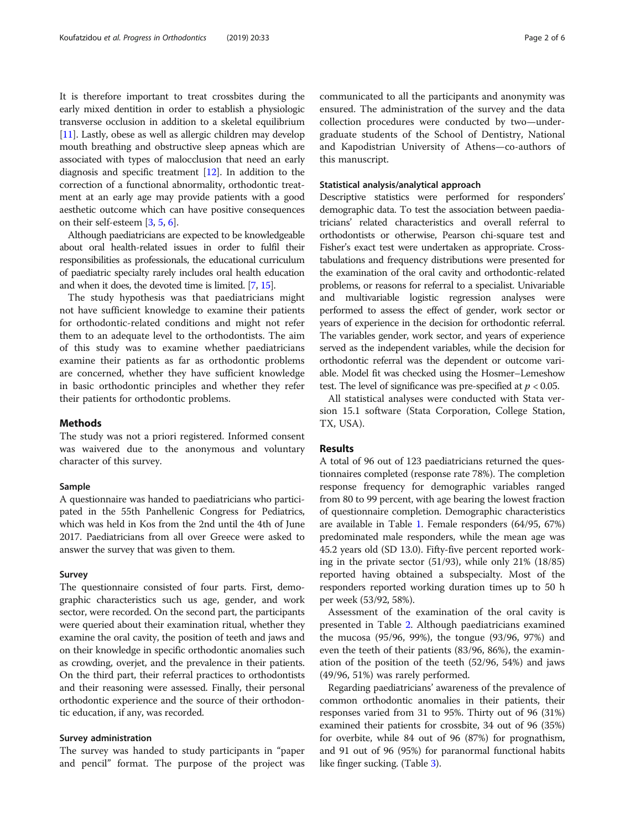It is therefore important to treat crossbites during the early mixed dentition in order to establish a physiologic transverse occlusion in addition to a skeletal equilibrium [[11](#page-4-0)]. Lastly, obese as well as allergic children may develop mouth breathing and obstructive sleep apneas which are associated with types of malocclusion that need an early diagnosis and specific treatment [[12](#page-5-0)]. In addition to the correction of a functional abnormality, orthodontic treatment at an early age may provide patients with a good aesthetic outcome which can have positive consequences on their self-esteem [\[3](#page-4-0), [5,](#page-4-0) [6](#page-4-0)].

Although paediatricians are expected to be knowledgeable about oral health-related issues in order to fulfil their responsibilities as professionals, the educational curriculum of paediatric specialty rarely includes oral health education and when it does, the devoted time is limited. [\[7,](#page-4-0) [15\]](#page-5-0).

The study hypothesis was that paediatricians might not have sufficient knowledge to examine their patients for orthodontic-related conditions and might not refer them to an adequate level to the orthodontists. The aim of this study was to examine whether paediatricians examine their patients as far as orthodontic problems are concerned, whether they have sufficient knowledge in basic orthodontic principles and whether they refer their patients for orthodontic problems.

#### Methods

The study was not a priori registered. Informed consent was waivered due to the anonymous and voluntary character of this survey.

#### Sample

A questionnaire was handed to paediatricians who participated in the 55th Panhellenic Congress for Pediatrics, which was held in Kos from the 2nd until the 4th of June 2017. Paediatricians from all over Greece were asked to answer the survey that was given to them.

#### Survey

The questionnaire consisted of four parts. First, demographic characteristics such us age, gender, and work sector, were recorded. On the second part, the participants were queried about their examination ritual, whether they examine the oral cavity, the position of teeth and jaws and on their knowledge in specific orthodontic anomalies such as crowding, overjet, and the prevalence in their patients. On the third part, their referral practices to orthodontists and their reasoning were assessed. Finally, their personal orthodontic experience and the source of their orthodontic education, if any, was recorded.

#### Survey administration

The survey was handed to study participants in "paper and pencil" format. The purpose of the project was communicated to all the participants and anonymity was ensured. The administration of the survey and the data collection procedures were conducted by two—undergraduate students of the School of Dentistry, National and Kapodistrian University of Athens—co-authors of this manuscript.

#### Statistical analysis/analytical approach

Descriptive statistics were performed for responders' demographic data. To test the association between paediatricians' related characteristics and overall referral to orthodontists or otherwise, Pearson chi-square test and Fisher's exact test were undertaken as appropriate. Crosstabulations and frequency distributions were presented for the examination of the oral cavity and orthodontic-related problems, or reasons for referral to a specialist. Univariable and multivariable logistic regression analyses were performed to assess the effect of gender, work sector or years of experience in the decision for orthodontic referral. The variables gender, work sector, and years of experience served as the independent variables, while the decision for orthodontic referral was the dependent or outcome variable. Model fit was checked using the Hosmer–Lemeshow test. The level of significance was pre-specified at  $p < 0.05$ .

All statistical analyses were conducted with Stata version 15.1 software (Stata Corporation, College Station, TX, USA).

#### Results

A total of 96 out of 123 paediatricians returned the questionnaires completed (response rate 78%). The completion response frequency for demographic variables ranged from 80 to 99 percent, with age bearing the lowest fraction of questionnaire completion. Demographic characteristics are available in Table [1](#page-2-0). Female responders (64/95, 67%) predominated male responders, while the mean age was 45.2 years old (SD 13.0). Fifty-five percent reported working in the private sector (51/93), while only 21% (18/85) reported having obtained a subspecialty. Most of the responders reported working duration times up to 50 h per week (53/92, 58%).

Assessment of the examination of the oral cavity is presented in Table [2](#page-2-0). Although paediatricians examined the mucosa (95/96, 99%), the tongue (93/96, 97%) and even the teeth of their patients (83/96, 86%), the examination of the position of the teeth (52/96, 54%) and jaws (49/96, 51%) was rarely performed.

Regarding paediatricians' awareness of the prevalence of common orthodontic anomalies in their patients, their responses varied from 31 to 95%. Thirty out of 96 (31%) examined their patients for crossbite, 34 out of 96 (35%) for overbite, while 84 out of 96 (87%) for prognathism, and 91 out of 96 (95%) for paranormal functional habits like finger sucking. (Table [3](#page-2-0)).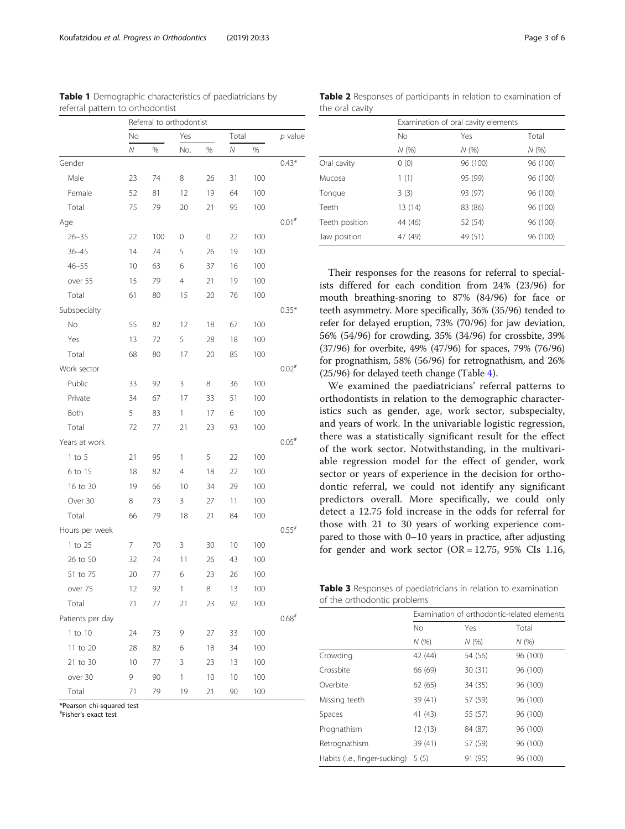<span id="page-2-0"></span>Koufatzidou et al. Progress in Orthodontics (2019) 20:33 Page 3 of 6

|                  |    | Referral to orthodontist |                |      |          |     |                     |
|------------------|----|--------------------------|----------------|------|----------|-----|---------------------|
|                  | No |                          | Yes            |      | Total    |     | p value             |
|                  | Ν  | %                        | No.            | $\%$ | $\bar N$ | %   |                     |
| Gender           |    |                          |                |      |          |     | $0.43*$             |
| Male             | 23 | 74                       | 8              | 26   | 31       | 100 |                     |
| Female           | 52 | 81                       | 12             | 19   | 64       | 100 |                     |
| Total            | 75 | 79                       | 20             | 21   | 95       | 100 |                     |
| Age              |    |                          |                |      |          |     | $0.01$ #            |
| $26 - 35$        | 22 | 100                      | 0              | 0    | 22       | 100 |                     |
| $36 - 45$        | 14 | 74                       | 5              | 26   | 19       | 100 |                     |
| $46 - 55$        | 10 | 63                       | 6              | 37   | 16       | 100 |                     |
| over 55          | 15 | 79                       | $\overline{4}$ | 21   | 19       | 100 |                     |
| Total            | 61 | 80                       | 15             | 20   | 76       | 100 |                     |
| Subspecialty     |    |                          |                |      |          |     | $0.35*$             |
| No               | 55 | 82                       | 12             | 18   | 67       | 100 |                     |
| Yes              | 13 | 72                       | 5              | 28   | 18       | 100 |                     |
| Total            | 68 | 80                       | 17             | 20   | 85       | 100 |                     |
| Work sector      |    |                          |                |      |          |     | $0.02$ <sup>#</sup> |
| Public           | 33 | 92                       | 3              | 8    | 36       | 100 |                     |
| Private          | 34 | 67                       | 17             | 33   | 51       | 100 |                     |
| Both             | 5  | 83                       | 1              | 17   | 6        | 100 |                     |
| Total            | 72 | 77                       | 21             | 23   | 93       | 100 |                     |
| Years at work    |    |                          |                |      |          |     | $0.05$ <sup>#</sup> |
| $1$ to $5$       | 21 | 95                       | 1              | 5    | 22       | 100 |                     |
| 6 to 15          | 18 | 82                       | $\overline{4}$ | 18   | 22       | 100 |                     |
| 16 to 30         | 19 | 66                       | 10             | 34   | 29       | 100 |                     |
| Over 30          | 8  | 73                       | 3              | 27   | 11       | 100 |                     |
| Total            | 66 | 79                       | 18             | 21   | 84       | 100 |                     |
| Hours per week   |    |                          |                |      |          |     | $0.55$ <sup>#</sup> |
| 1 to 25          | 7  | 70                       | 3              | 30   | 10       | 100 |                     |
| 26 to 50         | 32 | 74                       | 11             | 26   | 43       | 100 |                     |
| 51 to 75         | 20 | 77                       | 6              | 23   | 26       | 100 |                     |
| over 75          | 12 | 92                       | 1              | 8    | 13       | 100 |                     |
| Total            | 71 | 77                       | 21             | 23   | 92       | 100 |                     |
| Patients per day |    |                          |                |      |          |     | $0.68$ #            |
| 1 to 10          | 24 | 73                       | 9              | 27   | 33       | 100 |                     |
| 11 to 20         | 28 | 82                       | 6              | 18   | 34       | 100 |                     |
| 21 to 30         | 10 | 77                       | 3              | 23   | 13       | 100 |                     |
| over 30          | 9  | 90                       | 1              | 10   | 10       | 100 |                     |
| Total            | 71 | 79                       | 19             | 21   | 90       | 100 |                     |

\*Pearson chi-squared test # Fisher's exact test

Table 1 Demographic characteristics of paediatricians by referral pattern to orthodontist

| Table 2 Responses of participants in relation to examination of |  |  |
|-----------------------------------------------------------------|--|--|
| the oral cavity                                                 |  |  |

|                |           | Examination of oral cavity elements |          |  |  |
|----------------|-----------|-------------------------------------|----------|--|--|
|                | <b>No</b> | Yes                                 | Total    |  |  |
|                | N(% )     | N(%                                 | N(%      |  |  |
| Oral cavity    | 0(0)      | 96 (100)                            | 96 (100) |  |  |
| Mucosa         | 1(1)      | 95 (99)                             | 96 (100) |  |  |
| Tongue         | 3(3)      | 93 (97)                             | 96 (100) |  |  |
| Teeth          | 13 (14)   | 83 (86)                             | 96 (100) |  |  |
| Teeth position | 44 (46)   | 52 (54)                             | 96 (100) |  |  |
| Jaw position   | 47 (49)   | 49 (51)                             | 96 (100) |  |  |

Their responses for the reasons for referral to specialists differed for each condition from 24% (23/96) for mouth breathing-snoring to 87% (84/96) for face or teeth asymmetry. More specifically, 36% (35/96) tended to refer for delayed eruption, 73% (70/96) for jaw deviation, 56% (54/96) for crowding, 35% (34/96) for crossbite, 39% (37/96) for overbite, 49% (47/96) for spaces, 79% (76/96) for prognathism, 58% (56/96) for retrognathism, and 26% (25/96) for delayed teeth change (Table [4](#page-3-0)).

We examined the paediatricians' referral patterns to orthodontists in relation to the demographic characteristics such as gender, age, work sector, subspecialty, and years of work. In the univariable logistic regression, there was a statistically significant result for the effect of the work sector. Notwithstanding, in the multivariable regression model for the effect of gender, work sector or years of experience in the decision for orthodontic referral, we could not identify any significant predictors overall. More specifically, we could only detect a 12.75 fold increase in the odds for referral for those with 21 to 30 years of working experience compared to those with 0–10 years in practice, after adjusting for gender and work sector  $(OR = 12.75, 95\% \text{ CIs } 1.16,$ 

Table 3 Responses of paediatricians in relation to examination of the orthodontic problems

|                               | Examination of orthodontic-related elements |         |          |  |
|-------------------------------|---------------------------------------------|---------|----------|--|
|                               | N <sub>o</sub>                              | Yes     | Total    |  |
|                               | N(%                                         | N(%     | N(%      |  |
| Crowding                      | 42 (44)                                     | 54 (56) | 96 (100) |  |
| Crossbite                     | 66 (69)                                     | 30(31)  | 96 (100) |  |
| Overbite                      | 62(65)                                      | 34 (35) | 96 (100) |  |
| Missing teeth                 | 39 (41)                                     | 57 (59) | 96 (100) |  |
| Spaces                        | 41 (43)                                     | 55 (57) | 96 (100) |  |
| Prognathism                   | 12(13)                                      | 84 (87) | 96 (100) |  |
| Retrognathism                 | 39 (41)                                     | 57 (59) | 96 (100) |  |
| Habits (i.e., finger-sucking) | 5(5)                                        | 91 (95) | 96 (100) |  |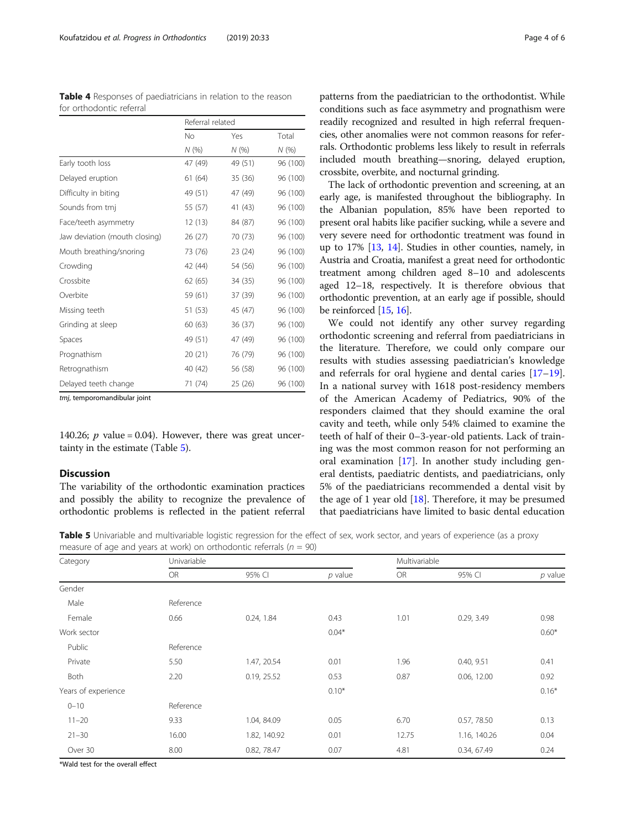<span id="page-3-0"></span>

| Table 4 Responses of paediatricians in relation to the reason |  |
|---------------------------------------------------------------|--|
| for orthodontic referral                                      |  |

|                               | Referral related |         |          |  |
|-------------------------------|------------------|---------|----------|--|
|                               | No               | Yes     | Total    |  |
|                               | N(%)             | N(%)    | N(%)     |  |
| Early tooth loss              | 47 (49)          | 49 (51) | 96 (100) |  |
| Delayed eruption              | 61(64)           | 35 (36) | 96 (100) |  |
| Difficulty in biting          | 49 (51)          | 47 (49) | 96 (100) |  |
| Sounds from tmj               | 55 (57)          | 41 (43) | 96 (100) |  |
| Face/teeth asymmetry          | 12 (13)          | 84 (87) | 96 (100) |  |
| Jaw deviation (mouth closing) | 26 (27)          | 70 (73) | 96 (100) |  |
| Mouth breathing/snoring       | 73 (76)          | 23 (24) | 96 (100) |  |
| Crowding                      | 42 (44)          | 54 (56) | 96 (100) |  |
| Crossbite                     | 62(65)           | 34 (35) | 96 (100) |  |
| Overbite                      | 59 (61)          | 37 (39) | 96 (100) |  |
| Missing teeth                 | 51 (53)          | 45 (47) | 96 (100) |  |
| Grinding at sleep             | 60 (63)          | 36 (37) | 96 (100) |  |
| Spaces                        | 49 (51)          | 47 (49) | 96 (100) |  |
| Prognathism                   | 20(21)           | 76 (79) | 96 (100) |  |
| Retrognathism                 | 40 (42)          | 56 (58) | 96 (100) |  |
| Delayed teeth change          | 71 (74)          | 25(26)  | 96 (100) |  |

tmj, temporomandibular joint

140.26;  $p$  value = 0.04). However, there was great uncertainty in the estimate (Table 5).

#### Discussion

The variability of the orthodontic examination practices and possibly the ability to recognize the prevalence of orthodontic problems is reflected in the patient referral patterns from the paediatrician to the orthodontist. While conditions such as face asymmetry and prognathism were readily recognized and resulted in high referral frequencies, other anomalies were not common reasons for referrals. Orthodontic problems less likely to result in referrals included mouth breathing—snoring, delayed eruption, crossbite, overbite, and nocturnal grinding.

The lack of orthodontic prevention and screening, at an early age, is manifested throughout the bibliography. In the Albanian population, 85% have been reported to present oral habits like pacifier sucking, while a severe and very severe need for orthodontic treatment was found in up to 17% [[13,](#page-5-0) [14\]](#page-5-0). Studies in other counties, namely, in Austria and Croatia, manifest a great need for orthodontic treatment among children aged 8–10 and adolescents aged 12–18, respectively. It is therefore obvious that orthodontic prevention, at an early age if possible, should be reinforced [\[15,](#page-5-0) [16](#page-5-0)].

We could not identify any other survey regarding orthodontic screening and referral from paediatricians in the literature. Therefore, we could only compare our results with studies assessing paediatrician's knowledge and referrals for oral hygiene and dental caries [[17](#page-5-0)–[19](#page-5-0)]. In a national survey with 1618 post-residency members of the American Academy of Pediatrics, 90% of the responders claimed that they should examine the oral cavity and teeth, while only 54% claimed to examine the teeth of half of their 0–3-year-old patients. Lack of training was the most common reason for not performing an oral examination [[17\]](#page-5-0). In another study including general dentists, paediatric dentists, and paediatricians, only 5% of the paediatricians recommended a dental visit by the age of 1 year old  $[18]$ . Therefore, it may be presumed that paediatricians have limited to basic dental education

Table 5 Univariable and multivariable logistic regression for the effect of sex, work sector, and years of experience (as a proxy measure of age and years at work) on orthodontic referrals ( $n = 90$ )

| Category            | Univariable |              |           |           | Multivariable |           |  |
|---------------------|-------------|--------------|-----------|-----------|---------------|-----------|--|
|                     | <b>OR</b>   | 95% CI       | $p$ value | <b>OR</b> | 95% CI        | $p$ value |  |
| Gender              |             |              |           |           |               |           |  |
| Male                | Reference   |              |           |           |               |           |  |
| Female              | 0.66        | 0.24, 1.84   | 0.43      | 1.01      | 0.29, 3.49    | 0.98      |  |
| Work sector         |             |              | $0.04*$   |           |               | $0.60*$   |  |
| Public              | Reference   |              |           |           |               |           |  |
| Private             | 5.50        | 1.47, 20.54  | 0.01      | 1.96      | 0.40, 9.51    | 0.41      |  |
| Both                | 2.20        | 0.19, 25.52  | 0.53      | 0.87      | 0.06, 12.00   | 0.92      |  |
| Years of experience |             |              | $0.10*$   |           |               | $0.16*$   |  |
| $0 - 10$            | Reference   |              |           |           |               |           |  |
| $11 - 20$           | 9.33        | 1.04, 84.09  | 0.05      | 6.70      | 0.57, 78.50   | 0.13      |  |
| $21 - 30$           | 16.00       | 1.82, 140.92 | 0.01      | 12.75     | 1.16, 140.26  | 0.04      |  |
| Over 30             | 8.00        | 0.82, 78.47  | 0.07      | 4.81      | 0.34, 67.49   | 0.24      |  |

\*Wald test for the overall effect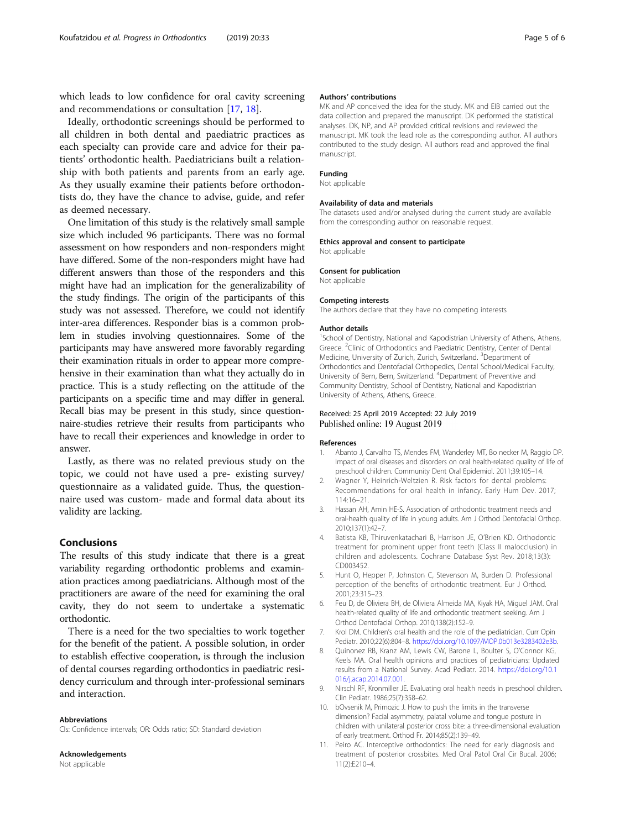<span id="page-4-0"></span>which leads to low confidence for oral cavity screening and recommendations or consultation [\[17](#page-5-0), [18](#page-5-0)].

Ideally, orthodontic screenings should be performed to all children in both dental and paediatric practices as each specialty can provide care and advice for their patients' orthodontic health. Paediatricians built a relationship with both patients and parents from an early age. As they usually examine their patients before orthodontists do, they have the chance to advise, guide, and refer as deemed necessary.

One limitation of this study is the relatively small sample size which included 96 participants. There was no formal assessment on how responders and non-responders might have differed. Some of the non-responders might have had different answers than those of the responders and this might have had an implication for the generalizability of the study findings. The origin of the participants of this study was not assessed. Therefore, we could not identify inter-area differences. Responder bias is a common problem in studies involving questionnaires. Some of the participants may have answered more favorably regarding their examination rituals in order to appear more comprehensive in their examination than what they actually do in practice. This is a study reflecting on the attitude of the participants on a specific time and may differ in general. Recall bias may be present in this study, since questionnaire-studies retrieve their results from participants who have to recall their experiences and knowledge in order to answer.

Lastly, as there was no related previous study on the topic, we could not have used a pre- existing survey/ questionnaire as a validated guide. Thus, the questionnaire used was custom- made and formal data about its validity are lacking.

## Conclusions

The results of this study indicate that there is a great variability regarding orthodontic problems and examination practices among paediatricians. Although most of the practitioners are aware of the need for examining the oral cavity, they do not seem to undertake a systematic orthodontic.

There is a need for the two specialties to work together for the benefit of the patient. A possible solution, in order to establish effective cooperation, is through the inclusion of dental courses regarding orthodontics in paediatric residency curriculum and through inter-professional seminars and interaction.

#### Abbreviations

CIs: Confidence intervals; OR: Odds ratio; SD: Standard deviation

Acknowledgements Not applicable

#### Authors' contributions

MK and AP conceived the idea for the study. MK and EIB carried out the data collection and prepared the manuscript. DK performed the statistical analyses. DK, NP, and AP provided critical revisions and reviewed the manuscript. MK took the lead role as the corresponding author. All authors contributed to the study design. All authors read and approved the final manuscript.

#### Funding

#### Not applicable

#### Availability of data and materials

The datasets used and/or analysed during the current study are available from the corresponding author on reasonable request.

#### Ethics approval and consent to participate

Not applicable

#### Consent for publication

Not applicable

#### Competing interests

The authors declare that they have no competing interests

#### Author details

<sup>1</sup>School of Dentistry, National and Kapodistrian University of Athens, Athens, Greece. <sup>2</sup>Clinic of Orthodontics and Paediatric Dentistry, Center of Dental Medicine, University of Zurich, Zurich, Switzerland. <sup>3</sup>Department of Orthodontics and Dentofacial Orthopedics, Dental School/Medical Faculty, University of Bern, Bern, Switzerland. <sup>4</sup> Department of Preventive and Community Dentistry, School of Dentistry, National and Kapodistrian University of Athens, Athens, Greece.

#### Received: 25 April 2019 Accepted: 22 July 2019 Published online: 19 August 2019

#### References

- 1. Abanto J, Carvalho TS, Mendes FM, Wanderley MT, Bo necker M, Raggio DP. Impact of oral diseases and disorders on oral health-related quality of life of preschool children. Community Dent Oral Epidemiol. 2011;39:105–14.
- 2. Wagner Y, Heinrich-Weltzien R. Risk factors for dental problems: Recommendations for oral health in infancy. Early Hum Dev. 2017; 114:16–21.
- 3. Hassan AH, Amin HE-S. Association of orthodontic treatment needs and oral-health quality of life in young adults. Am J Orthod Dentofacial Orthop. 2010;137(1):42–7.
- 4. Batista KB, Thiruvenkatachari B, Harrison JE, O'Brien KD. Orthodontic treatment for prominent upper front teeth (Class II malocclusion) in children and adolescents. Cochrane Database Syst Rev. 2018;13(3): CD003452.
- 5. Hunt O, Hepper P, Johnston C, Stevenson M, Burden D. Professional perception of the benefits of orthodontic treatment. Eur J Orthod. 2001;23:315–23.
- 6. Feu D, de Oliviera BH, de Oliviera Almeida ΜA, Kiyak HA, Miguel JAM. Oral health-related quality of life and orthodontic treatment seeking. Am J Orthod Dentofacial Orthop. 2010;138(2):152–9.
- 7. Krol DM. Children's oral health and the role of the pediatrician. Curr Opin Pediatr. 2010;22(6):804–8. [https://doi.org/10.1097/MOP.0b013e3283402e3b.](https://doi.org/10.1097/MOP.0b013e3283402e3b)
- 8. Quinonez RB, Kranz AM, Lewis CW, Barone L, Boulter S, O'Connor KG, Keels MA. Oral health opinions and practices of pediatricians: Updated results from a National Survey. Acad Pediatr. 2014. [https://doi.org/10.1](https://doi.org/10.1016/j.acap.2014.07.001.) [016/j.acap.2014.07.001.](https://doi.org/10.1016/j.acap.2014.07.001.)
- 9. Nirschl RF, Kronmiller JE. Evaluating oral health needs in preschool children. Clin Pediatr. 1986;25(7):358–62.
- 10. bOvsenik M, Primozic J. How to push the limits in the transverse dimension? Facial asymmetry, palatal volume and tongue posture in children with unilateral posterior cross bite: a three-dimensional evaluation of early treatment. Orthod Fr. 2014;85(2):139–49.
- 11. Peiro AC. Interceptive orthodontics: The need for early diagnosis and treatment of posterior crossbites. Med Oral Patol Oral Cir Bucal. 2006; 11(2):E210–4.